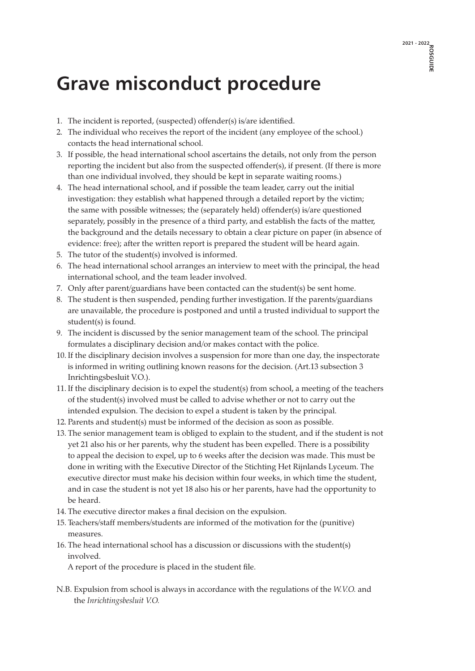## **Grave misconduct procedure**

- 1. The incident is reported, (suspected) offender(s) is/are identified.
- 2. The individual who receives the report of the incident (any employee of the school.) contacts the head international school.
- 3. If possible, the head international school ascertains the details, not only from the person reporting the incident but also from the suspected offender(s), if present. (If there is more than one individual involved, they should be kept in separate waiting rooms.)
- 4. The head international school, and if possible the team leader, carry out the initial investigation: they establish what happened through a detailed report by the victim; the same with possible witnesses; the (separately held) offender(s) is/are questioned separately, possibly in the presence of a third party, and establish the facts of the matter, the background and the details necessary to obtain a clear picture on paper (in absence of evidence: free); after the written report is prepared the student will be heard again.
- 5. The tutor of the student(s) involved is informed.
- 6. The head international school arranges an interview to meet with the principal, the head international school, and the team leader involved.
- 7. Only after parent/guardians have been contacted can the student(s) be sent home.
- 8. The student is then suspended, pending further investigation. If the parents/guardians are unavailable, the procedure is postponed and until a trusted individual to support the student(s) is found.
- 9. The incident is discussed by the senior management team of the school. The principal formulates a disciplinary decision and/or makes contact with the police.
- 10. If the disciplinary decision involves a suspension for more than one day, the inspectorate is informed in writing outlining known reasons for the decision. (Art.13 subsection 3 Inrichtingsbesluit V.O.).
- 11. If the disciplinary decision is to expel the student(s) from school, a meeting of the teachers of the student(s) involved must be called to advise whether or not to carry out the intended expulsion. The decision to expel a student is taken by the principal.
- 12. Parents and student(s) must be informed of the decision as soon as possible.
- 13. The senior management team is obliged to explain to the student, and if the student is not yet 21 also his or her parents, why the student has been expelled. There is a possibility to appeal the decision to expel, up to 6 weeks after the decision was made. This must be done in writing with the Executive Director of the Stichting Het Rijnlands Lyceum. The executive director must make his decision within four weeks, in which time the student, and in case the student is not yet 18 also his or her parents, have had the opportunity to be heard.
- 14. The executive director makes a final decision on the expulsion.
- 15. Teachers/staff members/students are informed of the motivation for the (punitive) measures.
- 16. The head international school has a discussion or discussions with the student(s) involved.

A report of the procedure is placed in the student file.

N.B. Expulsion from school is always in accordance with the regulations of the *W.V.O.* and the *Inrichtingsbesluit V.O.*